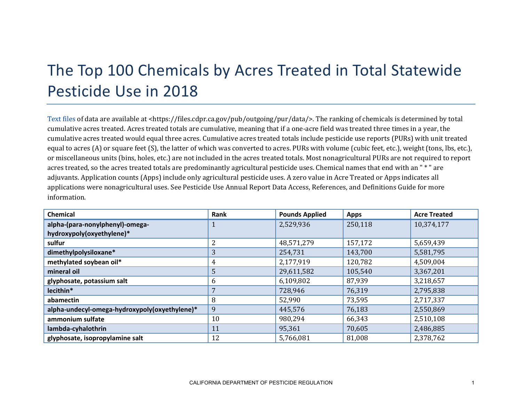## The Top 100 Chemicals by Acres Treated in Total Statewide Pesticide Use in 2018

[Text files](https://files.cdpr.ca.gov/pub/outgoing/pur/data/) of data are available at <https://files.cdpr.ca.gov/pub/outgoing/pur/data/>. The ranking of chemicals is determined by total cumulative acres treated. Acres treated totals are cumulative, meaning that if a one-acre field was treated three times in a year, the cumulative acres treated would equal three acres. Cumulative acres treated totals include pesticide use reports (PURs) with unit treated equal to acres (A) or square feet (S), the latter of which was converted to acres. PURs with volume (cubic feet, etc.), weight (tons, lbs, etc.), or miscellaneous units (bins, holes, etc.) are not included in the acres treated totals. Most nonagricultural PURs are not required to report acres treated, so the acres treated totals are predominantly agricultural pesticide uses. Chemical names that end with an " \* " are adjuvants. Application counts (Apps) include only agricultural pesticide uses. A zero value in Acre Treated or Apps indicates all applications were nonagricultural uses. See Pesticide Use Annual Report Data Access, References, and Definitions Guide for more information.

| <b>Chemical</b>                               | Rank | <b>Pounds Applied</b> | <b>Apps</b> | <b>Acre Treated</b> |
|-----------------------------------------------|------|-----------------------|-------------|---------------------|
| alpha-(para-nonylphenyl)-omega-               |      | 2,529,936             | 250,118     | 10,374,177          |
| hydroxypoly(oxyethylene)*                     |      |                       |             |                     |
| sulfur                                        | 2    | 48,571,279            | 157,172     | 5,659,439           |
| dimethylpolysiloxane*                         | 3    | 254,731               | 143,700     | 5,581,795           |
| methylated soybean oil*                       | 4    | 2,177,919             | 120,782     | 4,509,004           |
| mineral oil                                   | 5    | 29,611,582            | 105,540     | 3,367,201           |
| glyphosate, potassium salt                    | 6    | 6,109,802             | 87,939      | 3,218,657           |
| lecithin*                                     |      | 728,946               | 76,319      | 2,795,838           |
| abamectin                                     | 8    | 52,990                | 73,595      | 2,717,337           |
| alpha-undecyl-omega-hydroxypoly(oxyethylene)* | 9    | 445,576               | 76,183      | 2,550,869           |
| ammonium sulfate                              | 10   | 980,294               | 66,343      | 2,510,108           |
| lambda-cyhalothrin                            | 11   | 95,361                | 70,605      | 2,486,885           |
| glyphosate, isopropylamine salt               | 12   | 5,766,081             | 81,008      | 2,378,762           |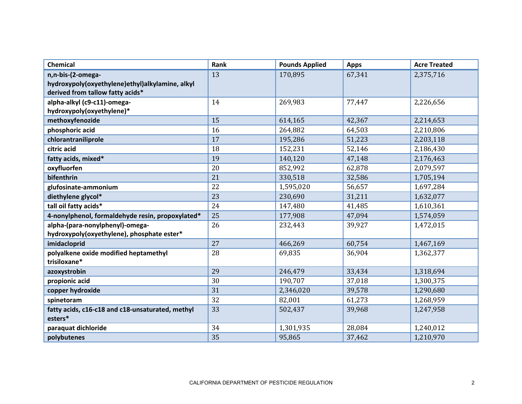| <b>Chemical</b>                                  | Rank | <b>Pounds Applied</b> | <b>Apps</b> | <b>Acre Treated</b> |
|--------------------------------------------------|------|-----------------------|-------------|---------------------|
| n,n-bis-(2-omega-                                | 13   | 170,895               | 67,341      | 2,375,716           |
| hydroxypoly(oxyethylene)ethyl)alkylamine, alkyl  |      |                       |             |                     |
| derived from tallow fatty acids*                 |      |                       |             |                     |
| alpha-alkyl (c9-c11)-omega-                      | 14   | 269,983               | 77,447      | 2,226,656           |
| hydroxypoly(oxyethylene)*                        |      |                       |             |                     |
| methoxyfenozide                                  | 15   | 614,165               | 42,367      | 2,214,653           |
| phosphoric acid                                  | 16   | 264,882               | 64,503      | 2,210,806           |
| chlorantraniliprole                              | 17   | 195,286               | 51,223      | 2,203,118           |
| citric acid                                      | 18   | 152,231               | 52,146      | 2,186,430           |
| fatty acids, mixed*                              | 19   | 140,120               | 47,148      | 2,176,463           |
| oxyfluorfen                                      | 20   | 852,992               | 62,878      | 2,079,597           |
| bifenthrin                                       | 21   | 330,518               | 32,586      | 1,705,194           |
| glufosinate-ammonium                             | 22   | 1,595,020             | 56,657      | 1,697,284           |
| diethylene glycol*                               | 23   | 230,690               | 31,211      | 1,632,077           |
| tall oil fatty acids*                            | 24   | 147,480               | 41,485      | 1,610,361           |
| 4-nonylphenol, formaldehyde resin, propoxylated* | 25   | 177,908               | 47,094      | 1,574,059           |
| alpha-(para-nonylphenyl)-omega-                  | 26   | 232,443               | 39,927      | 1,472,015           |
| hydroxypoly(oxyethylene), phosphate ester*       |      |                       |             |                     |
| imidacloprid                                     | 27   | 466,269               | 60,754      | 1,467,169           |
| polyalkene oxide modified heptamethyl            | 28   | 69,835                | 36,904      | 1,362,377           |
| trisiloxane*                                     |      |                       |             |                     |
| azoxystrobin                                     | 29   | 246,479               | 33,434      | 1,318,694           |
| propionic acid                                   | 30   | 190,707               | 37,018      | 1,300,375           |
| copper hydroxide                                 | 31   | 2,346,020             | 39,578      | 1,290,680           |
| spinetoram                                       | 32   | 82,001                | 61,273      | 1,268,959           |
| fatty acids, c16-c18 and c18-unsaturated, methyl | 33   | 502,437               | 39,968      | 1,247,958           |
| esters*                                          |      |                       |             |                     |
| paraquat dichloride                              | 34   | 1,301,935             | 28,084      | 1,240,012           |
| polybutenes                                      | 35   | 95,865                | 37,462      | 1,210,970           |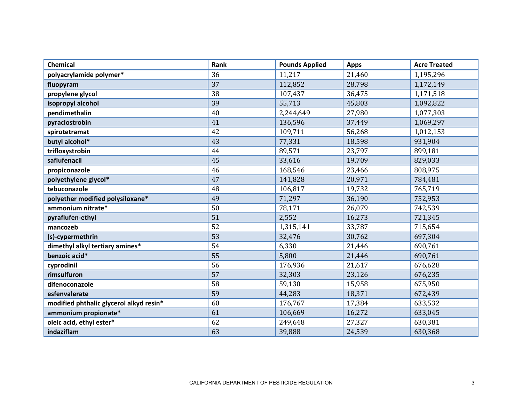| <b>Chemical</b>                         | Rank | <b>Pounds Applied</b> | <b>Apps</b> | <b>Acre Treated</b> |
|-----------------------------------------|------|-----------------------|-------------|---------------------|
| polyacrylamide polymer*                 | 36   | 11,217                | 21,460      | 1,195,296           |
| fluopyram                               | 37   | 112,852               | 28,798      | 1,172,149           |
| propylene glycol                        | 38   | 107,437               | 36,475      | 1,171,518           |
| isopropyl alcohol                       | 39   | 55,713                | 45,803      | 1,092,822           |
| pendimethalin                           | 40   | 2,244,649             | 27,980      | 1,077,303           |
| pyraclostrobin                          | 41   | 136,596               | 37,449      | 1,069,297           |
| spirotetramat                           | 42   | 109,711               | 56,268      | 1,012,153           |
| butyl alcohol*                          | 43   | 77,331                | 18,598      | 931,904             |
| trifloxystrobin                         | 44   | 89,571                | 23,797      | 899,181             |
| saflufenacil                            | 45   | 33,616                | 19,709      | 829,033             |
| propiconazole                           | 46   | 168,546               | 23,466      | 808,975             |
| polyethylene glycol*                    | 47   | 141,828               | 20,971      | 784,481             |
| tebuconazole                            | 48   | 106,817               | 19,732      | 765,719             |
| polyether modified polysiloxane*        | 49   | 71,297                | 36,190      | 752,953             |
| ammonium nitrate*                       | 50   | 78,171                | 26,079      | 742,539             |
| pyraflufen-ethyl                        | 51   | 2,552                 | 16,273      | 721,345             |
| mancozeb                                | 52   | 1,315,141             | 33,787      | 715,654             |
| (s)-cypermethrin                        | 53   | 32,476                | 30,762      | 697,304             |
| dimethyl alkyl tertiary amines*         | 54   | 6,330                 | 21,446      | 690,761             |
| benzoic acid*                           | 55   | 5,800                 | 21,446      | 690,761             |
| cyprodinil                              | 56   | 176,936               | 21,617      | 676,628             |
| rimsulfuron                             | 57   | 32,303                | 23,126      | 676,235             |
| difenoconazole                          | 58   | 59,130                | 15,958      | 675,950             |
| esfenvalerate                           | 59   | 44,283                | 18,371      | 672,439             |
| modified phthalic glycerol alkyd resin* | 60   | 176,767               | 17,384      | 633,532             |
| ammonium propionate*                    | 61   | 106,669               | 16,272      | 633,045             |
| oleic acid, ethyl ester*                | 62   | 249,648               | 27,327      | 630,381             |
| indaziflam                              | 63   | 39,888                | 24,539      | 630,368             |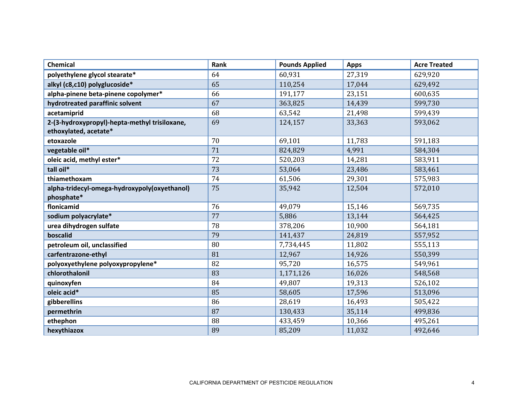| Chemical                                                               | Rank | <b>Pounds Applied</b> | <b>Apps</b> | <b>Acre Treated</b> |
|------------------------------------------------------------------------|------|-----------------------|-------------|---------------------|
| polyethylene glycol stearate*                                          | 64   | 60,931                | 27,319      | 629,920             |
| alkyl (c8,c10) polyglucoside*                                          | 65   | 110,254               | 17,044      | 629,492             |
| alpha-pinene beta-pinene copolymer*                                    | 66   | 191,177               | 23,151      | 600,635             |
| hydrotreated paraffinic solvent                                        | 67   | 363,825               | 14,439      | 599,730             |
| acetamiprid                                                            | 68   | 63,542                | 21,498      | 599,439             |
| 2-(3-hydroxypropyl)-hepta-methyl trisiloxane,<br>ethoxylated, acetate* | 69   | 124,157               | 33,363      | 593,062             |
| etoxazole                                                              | 70   | 69,101                | 11,783      | 591,183             |
| vegetable oil*                                                         | 71   | 824,829               | 4,991       | 584,304             |
| oleic acid, methyl ester*                                              | 72   | 520,203               | 14,281      | 583,911             |
| tall oil*                                                              | 73   | 53,064                | 23,486      | 583,461             |
| thiamethoxam                                                           | 74   | 61,506                | 29,301      | 575,983             |
| alpha-tridecyl-omega-hydroxypoly(oxyethanol)<br>phosphate*             | 75   | 35,942                | 12,504      | 572,010             |
| flonicamid                                                             | 76   | 49,079                | 15,146      | 569,735             |
| sodium polyacrylate*                                                   | 77   | 5,886                 | 13,144      | 564,425             |
| urea dihydrogen sulfate                                                | 78   | 378,206               | 10,900      | 564,181             |
| boscalid                                                               | 79   | 141,437               | 24,819      | 557,952             |
| petroleum oil, unclassified                                            | 80   | 7,734,445             | 11,802      | 555,113             |
| carfentrazone-ethyl                                                    | 81   | 12,967                | 14,926      | 550,399             |
| polyoxyethylene polyoxypropylene*                                      | 82   | 95,720                | 16,575      | 549,961             |
| chlorothalonil                                                         | 83   | 1,171,126             | 16,026      | 548,568             |
| quinoxyfen                                                             | 84   | 49,807                | 19,313      | 526,102             |
| oleic acid*                                                            | 85   | 58,605                | 17,596      | 513,096             |
| gibberellins                                                           | 86   | 28,619                | 16,493      | 505,422             |
| permethrin                                                             | 87   | 130,433               | 35,114      | 499,836             |
| ethephon                                                               | 88   | 433,459               | 10,366      | 495,261             |
| hexythiazox                                                            | 89   | 85,209                | 11,032      | 492,646             |